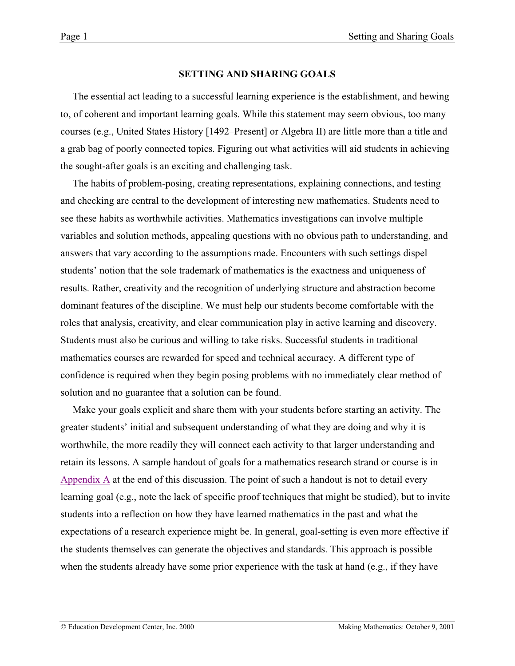#### **SETTING AND SHARING GOALS**

The essential act leading to a successful learning experience is the establishment, and hewing to, of coherent and important learning goals. While this statement may seem obvious, too many courses (e.g., United States History [1492–Present] or Algebra II) are little more than a title and a grab bag of poorly connected topics. Figuring out what activities will aid students in achieving the sought-after goals is an exciting and challenging task.

The habits of problem-posing, creating representations, explaining connections, and testing and checking are central to the development of interesting new mathematics. Students need to see these habits as worthwhile activities. Mathematics investigations can involve multiple variables and solution methods, appealing questions with no obvious path to understanding, and answers that vary according to the assumptions made. Encounters with such settings dispel students' notion that the sole trademark of mathematics is the exactness and uniqueness of results. Rather, creativity and the recognition of underlying structure and abstraction become dominant features of the discipline. We must help our students become comfortable with the roles that analysis, creativity, and clear communication play in active learning and discovery. Students must also be curious and willing to take risks. Successful students in traditional mathematics courses are rewarded for speed and technical accuracy. A different type of confidence is required when they begin posing problems with no immediately clear method of solution and no guarantee that a solution can be found.

Make your goals explicit and share them with your students before starting an activity. The greater students' initial and subsequent understanding of what they are doing and why it is worthwhile, the more readily they will connect each activity to that larger understanding and retain its lessons. A sample handout of goals for a mathematics research strand or course is in Appendix A at the end of this discussion. The point of such a handout is not to detail every learning goal (e.g., note the lack of specific proof techniques that might be studied), but to invite students into a reflection on how they have learned mathematics in the past and what the expectations of a research experience might be. In general, goal-setting is even more effective if the students themselves can generate the objectives and standards. This approach is possible when the students already have some prior experience with the task at hand (e.g., if they have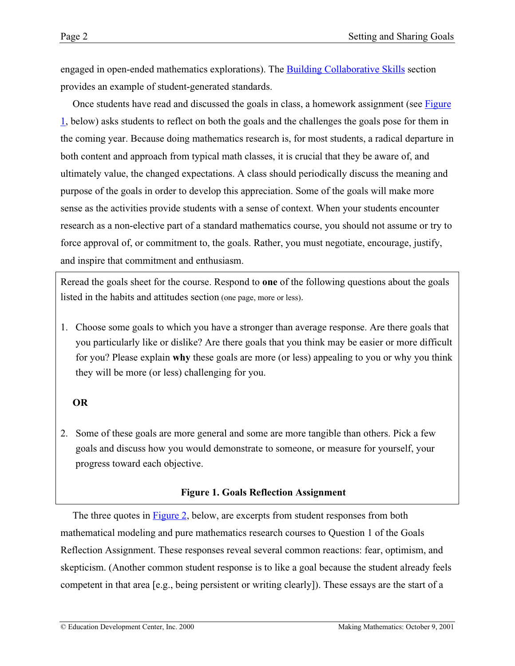engaged in open-ended mathematics explorations). The **Building Collaborative Skills** section provides an example of student-generated standards.

Once students have read and discussed the goals in class, a homework assignment (see Figure 1, below) asks students to reflect on both the goals and the challenges the goals pose for them in the coming year. Because doing mathematics research is, for most students, a radical departure in both content and approach from typical math classes, it is crucial that they be aware of, and ultimately value, the changed expectations. A class should periodically discuss the meaning and purpose of the goals in order to develop this appreciation. Some of the goals will make more sense as the activities provide students with a sense of context. When your students encounter research as a non-elective part of a standard mathematics course, you should not assume or try to force approval of, or commitment to, the goals. Rather, you must negotiate, encourage, justify, and inspire that commitment and enthusiasm.

Reread the goals sheet for the course. Respond to **one** of the following questions about the goals listed in the habits and attitudes section (one page, more or less).

1. Choose some goals to which you have a stronger than average response. Are there goals that you particularly like or dislike? Are there goals that you think may be easier or more difficult for you? Please explain **why** these goals are more (or less) appealing to you or why you think they will be more (or less) challenging for you.

# **OR**

2. Some of these goals are more general and some are more tangible than others. Pick a few goals and discuss how you would demonstrate to someone, or measure for yourself, your progress toward each objective.

### **Figure 1. Goals Reflection Assignment**

The three quotes in [Figure 2,](#page-2-0) below, are excerpts from student responses from both mathematical modeling and pure mathematics research courses to Question 1 of the Goals Reflection Assignment. These responses reveal several common reactions: fear, optimism, and skepticism. (Another common student response is to like a goal because the student already feels competent in that area [e.g., being persistent or writing clearly]). These essays are the start of a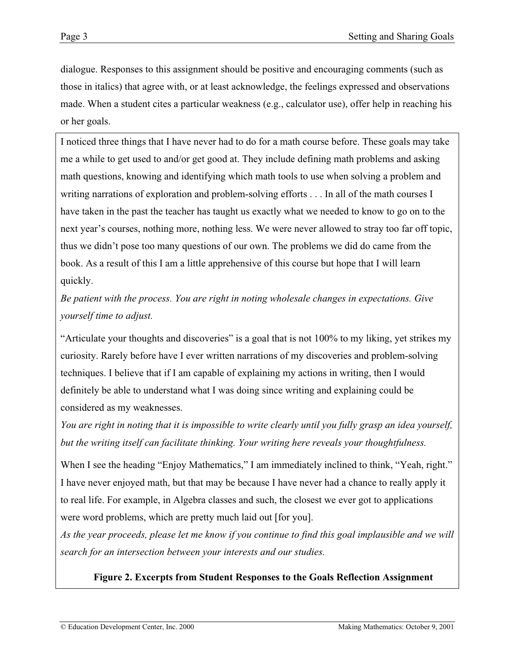<span id="page-2-0"></span>dialogue. Responses to this assignment should be positive and encouraging comments (such as those in italics) that agree with, or at least acknowledge, the feelings expressed and observations made. When a student cites a particular weakness (e.g., calculator use), offer help in reaching his or her goals.

I noticed three things that I have never had to do for a math course before. These goals may take me a while to get used to and/or get good at. They include defining math problems and asking math questions, knowing and identifying which math tools to use when solving a problem and writing narrations of exploration and problem-solving efforts . . . In all of the math courses I have taken in the past the teacher has taught us exactly what we needed to know to go on to the next year's courses, nothing more, nothing less. We were never allowed to stray too far off topic, thus we didn't pose too many questions of our own. The problems we did do came from the book. As a result of this I am a little apprehensive of this course but hope that I will learn quickly.

*Be patient with the process. You are right in noting wholesale changes in expectations. Give yourself time to adjust.*

"Articulate your thoughts and discoveries" is a goal that is not 100% to my liking, yet strikes my curiosity. Rarely before have I ever written narrations of my discoveries and problem-solving techniques. I believe that if I am capable of explaining my actions in writing, then I would definitely be able to understand what I was doing since writing and explaining could be considered as my weaknesses.

*You are right in noting that it is impossible to write clearly until you fully grasp an idea yourself, but the writing itself can facilitate thinking. Your writing here reveals your thoughtfulness.*

When I see the heading "Enjoy Mathematics," I am immediately inclined to think, "Yeah, right." I have never enjoyed math, but that may be because I have never had a chance to really apply it to real life. For example, in Algebra classes and such, the closest we ever got to applications were word problems, which are pretty much laid out [for you].

*As the year proceeds, please let me know if you continue to find this goal implausible and we will search for an intersection between your interests and our studies.*

**Figure 2. Excerpts from Student Responses to the Goals Reflection Assignment**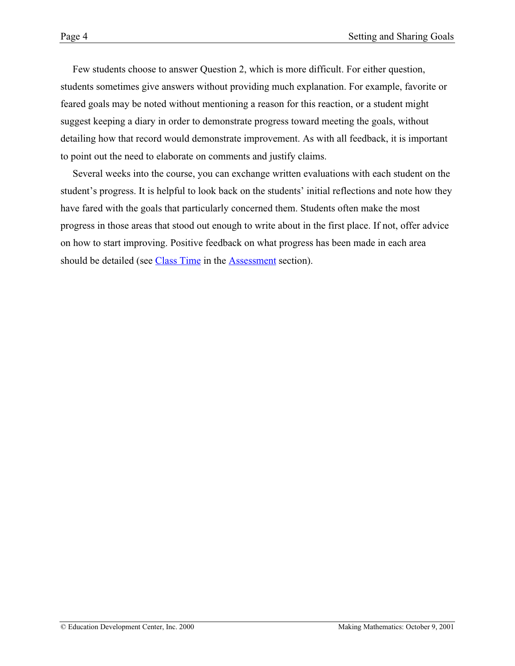Few students choose to answer Question 2, which is more difficult. For either question, students sometimes give answers without providing much explanation. For example, favorite or feared goals may be noted without mentioning a reason for this reaction, or a student might suggest keeping a diary in order to demonstrate progress toward meeting the goals, without detailing how that record would demonstrate improvement. As with all feedback, it is important to point out the need to elaborate on comments and justify claims.

Several weeks into the course, you can exchange written evaluations with each student on the student's progress. It is helpful to look back on the students' initial reflections and note how they have fared with the goals that particularly concerned them. Students often make the most progress in those areas that stood out enough to write about in the first place. If not, offer advice on how to start improving. Positive feedback on what progress has been made in each area should be detailed (see [Class Time](http://www2.edc.org/makingmath/handbook/teacher/assessment/assessment.asp#classtime) in the [Assessment](http://www2.edc.org/makingmath/handbook/teacher/assessment/assessment.asp) section).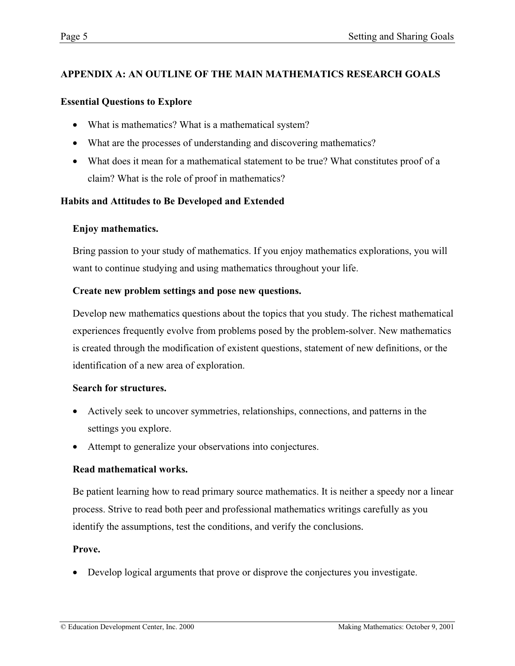# **APPENDIX A: AN OUTLINE OF THE MAIN MATHEMATICS RESEARCH GOALS**

## **Essential Questions to Explore**

- What is mathematics? What is a mathematical system?
- What are the processes of understanding and discovering mathematics?
- What does it mean for a mathematical statement to be true? What constitutes proof of a claim? What is the role of proof in mathematics?

# **Habits and Attitudes to Be Developed and Extended**

## **Enjoy mathematics.**

Bring passion to your study of mathematics. If you enjoy mathematics explorations, you will want to continue studying and using mathematics throughout your life.

## **Create new problem settings and pose new questions.**

Develop new mathematics questions about the topics that you study. The richest mathematical experiences frequently evolve from problems posed by the problem-solver. New mathematics is created through the modification of existent questions, statement of new definitions, or the identification of a new area of exploration.

### **Search for structures.**

- Actively seek to uncover symmetries, relationships, connections, and patterns in the settings you explore.
- Attempt to generalize your observations into conjectures.

# **Read mathematical works.**

Be patient learning how to read primary source mathematics. It is neither a speedy nor a linear process. Strive to read both peer and professional mathematics writings carefully as you identify the assumptions, test the conditions, and verify the conclusions.

### **Prove.**

• Develop logical arguments that prove or disprove the conjectures you investigate.